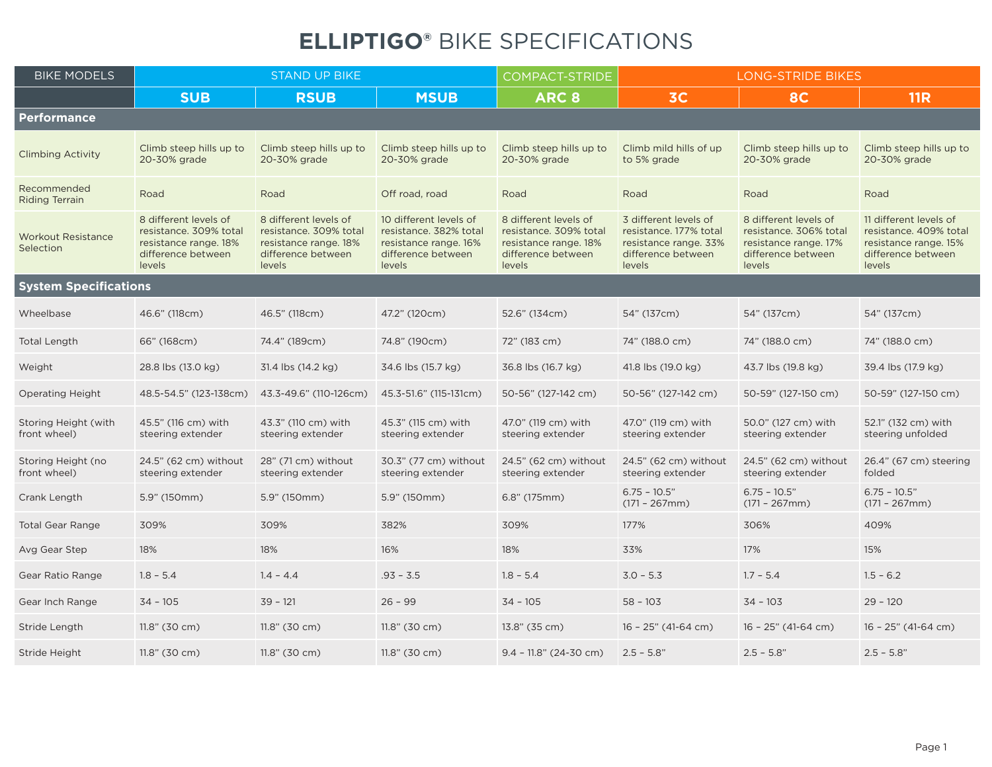## **ELLIPTIGO®** BIKE SPECIFICATIONS

| <b>BIKE MODELS</b>                     | <b>STAND UP BIKE</b>                                                                                     |                                                                                                          |                                                                                                           | <b>COMPACT-STRIDE</b>                                                                                    | <b>LONG-STRIDE BIKES</b>                                                                                 |                                                                                                          |                                                                                                           |
|----------------------------------------|----------------------------------------------------------------------------------------------------------|----------------------------------------------------------------------------------------------------------|-----------------------------------------------------------------------------------------------------------|----------------------------------------------------------------------------------------------------------|----------------------------------------------------------------------------------------------------------|----------------------------------------------------------------------------------------------------------|-----------------------------------------------------------------------------------------------------------|
|                                        | <b>SUB</b>                                                                                               | <b>RSUB</b>                                                                                              | <b>MSUB</b>                                                                                               | ARC <sub>8</sub>                                                                                         | 3C                                                                                                       | <b>8C</b>                                                                                                | <b>11R</b>                                                                                                |
| Performance                            |                                                                                                          |                                                                                                          |                                                                                                           |                                                                                                          |                                                                                                          |                                                                                                          |                                                                                                           |
| <b>Climbing Activity</b>               | Climb steep hills up to<br>20-30% grade                                                                  | Climb steep hills up to<br>20-30% grade                                                                  | Climb steep hills up to<br>20-30% grade                                                                   | Climb steep hills up to<br>20-30% grade                                                                  | Climb mild hills of up<br>to 5% grade                                                                    | Climb steep hills up to<br>20-30% grade                                                                  | Climb steep hills up to<br>20-30% grade                                                                   |
| Recommended<br>Riding Terrain          | Road                                                                                                     | Road                                                                                                     | Off road, road                                                                                            | Road                                                                                                     | Road                                                                                                     | Road                                                                                                     | Road                                                                                                      |
| <b>Workout Resistance</b><br>Selection | 8 different levels of<br>resistance, 309% total<br>resistance range. 18%<br>difference between<br>levels | 8 different levels of<br>resistance, 309% total<br>resistance range. 18%<br>difference between<br>levels | 10 different levels of<br>resistance. 382% total<br>resistance range. 16%<br>difference between<br>levels | 8 different levels of<br>resistance. 309% total<br>resistance range. 18%<br>difference between<br>levels | 3 different levels of<br>resistance, 177% total<br>resistance range. 33%<br>difference between<br>levels | 8 different levels of<br>resistance, 306% total<br>resistance range. 17%<br>difference between<br>levels | 11 different levels of<br>resistance, 409% total<br>resistance range. 15%<br>difference between<br>levels |
| <b>System Specifications</b>           |                                                                                                          |                                                                                                          |                                                                                                           |                                                                                                          |                                                                                                          |                                                                                                          |                                                                                                           |
| Wheelbase                              | 46.6" (118cm)                                                                                            | 46.5" (118cm)                                                                                            | 47.2" (120cm)                                                                                             | 52.6" (134cm)                                                                                            | 54" (137cm)                                                                                              | 54" (137cm)                                                                                              | 54" (137cm)                                                                                               |
| <b>Total Length</b>                    | 66" (168cm)                                                                                              | 74.4" (189cm)                                                                                            | 74.8" (190cm)                                                                                             | 72" (183 cm)                                                                                             | 74" (188.0 cm)                                                                                           | 74" (188.0 cm)                                                                                           | 74" (188.0 cm)                                                                                            |
| Weight                                 | 28.8 lbs (13.0 kg)                                                                                       | 31.4 lbs (14.2 kg)                                                                                       | 34.6 lbs (15.7 kg)                                                                                        | 36.8 lbs (16.7 kg)                                                                                       | 41.8 lbs (19.0 kg)                                                                                       | 43.7 lbs (19.8 kg)                                                                                       | 39.4 lbs (17.9 kg)                                                                                        |
| <b>Operating Height</b>                | 48.5-54.5" (123-138cm)                                                                                   | 43.3-49.6" (110-126cm)                                                                                   | 45.3-51.6" (115-131cm)                                                                                    | 50-56" (127-142 cm)                                                                                      | 50-56" (127-142 cm)                                                                                      | 50-59" (127-150 cm)                                                                                      | 50-59" (127-150 cm)                                                                                       |
| Storing Height (with<br>front wheel)   | 45.5" (116 cm) with<br>steering extender                                                                 | 43.3" (110 cm) with<br>steering extender                                                                 | 45.3" (115 cm) with<br>steering extender                                                                  | 47.0" (119 cm) with<br>steering extender                                                                 | 47.0" (119 cm) with<br>steering extender                                                                 | 50.0" (127 cm) with<br>steering extender                                                                 | 52.1" (132 cm) with<br>steering unfolded                                                                  |
| Storing Height (no<br>front wheel)     | 24.5" (62 cm) without<br>steering extender                                                               | 28" (71 cm) without<br>steering extender                                                                 | 30.3" (77 cm) without<br>steering extender                                                                | 24.5" (62 cm) without<br>steering extender                                                               | 24.5" (62 cm) without<br>steering extender                                                               | 24.5" (62 cm) without<br>steering extender                                                               | 26.4" (67 cm) steering<br>folded                                                                          |
| Crank Length                           | 5.9" (150mm)                                                                                             | 5.9" (150mm)                                                                                             | 5.9" (150mm)                                                                                              | 6.8" (175mm)                                                                                             | $6.75 - 10.5"$<br>$(171 - 267mm)$                                                                        | $6.75 - 10.5"$<br>$(171 - 267mm)$                                                                        | $6.75 - 10.5"$<br>$(171 - 267mm)$                                                                         |
| <b>Total Gear Range</b>                | 309%                                                                                                     | 309%                                                                                                     | 382%                                                                                                      | 309%                                                                                                     | 177%                                                                                                     | 306%                                                                                                     | 409%                                                                                                      |
| Avg Gear Step                          | 18%                                                                                                      | 18%                                                                                                      | 16%                                                                                                       | 18%                                                                                                      | 33%                                                                                                      | 17%                                                                                                      | 15%                                                                                                       |
| Gear Ratio Range                       | $1.8 - 5.4$                                                                                              | $1.4 - 4.4$                                                                                              | $.93 - 3.5$                                                                                               | $1.8 - 5.4$                                                                                              | $3.0 - 5.3$                                                                                              | $1.7 - 5.4$                                                                                              | $1.5 - 6.2$                                                                                               |
| Gear Inch Range                        | $34 - 105$                                                                                               | $39 - 121$                                                                                               | $26 - 99$                                                                                                 | $34 - 105$                                                                                               | $58 - 103$                                                                                               | $34 - 103$                                                                                               | $29 - 120$                                                                                                |
| Stride Length                          | 11.8" (30 cm)                                                                                            | 11.8" (30 cm)                                                                                            | 11.8" (30 cm)                                                                                             | 13.8" (35 cm)                                                                                            | $16 - 25$ " (41-64 cm)                                                                                   | 16 - 25" (41-64 cm)                                                                                      | 16 - 25" (41-64 cm)                                                                                       |
| Stride Height                          | 11.8" (30 cm)                                                                                            | 11.8" (30 cm)                                                                                            | $11.8"$ (30 cm)                                                                                           | $9.4 - 11.8$ " (24-30 cm)                                                                                | $2.5 - 5.8"$                                                                                             | $2.5 - 5.8"$                                                                                             | $2.5 - 5.8"$                                                                                              |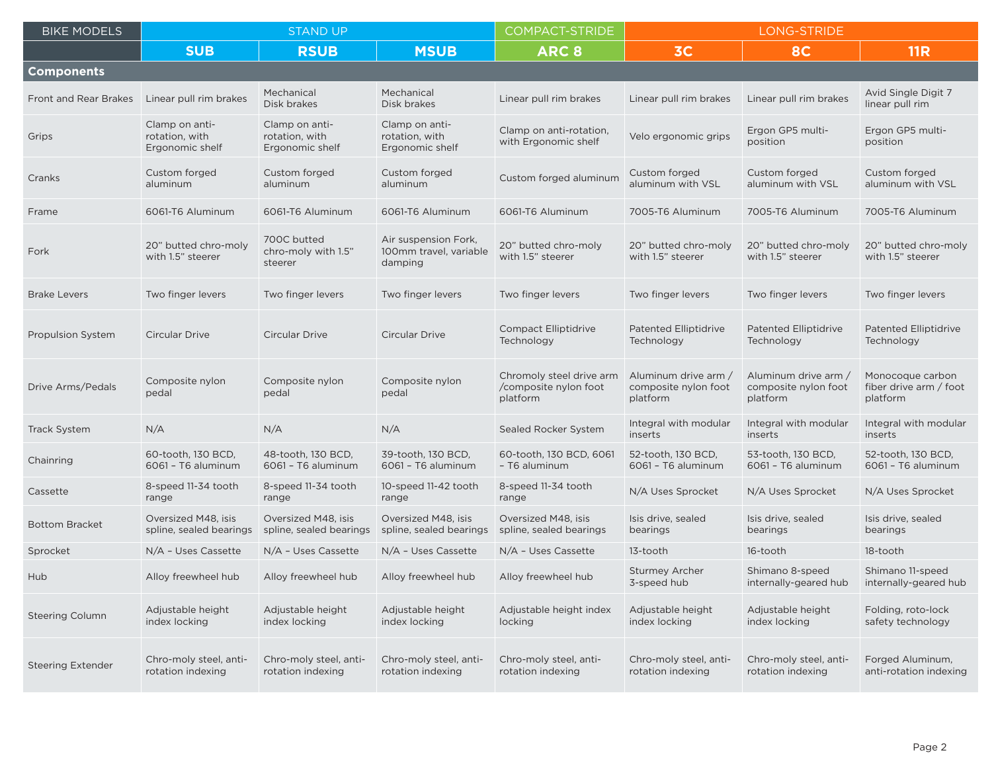| <b>BIKE MODELS</b>           | <b>STAND UP</b>                                     |                                                     |                                                           | <b>COMPACT-STRIDE</b>                                         | LONG-STRIDE                                              |                                                          |                                                        |
|------------------------------|-----------------------------------------------------|-----------------------------------------------------|-----------------------------------------------------------|---------------------------------------------------------------|----------------------------------------------------------|----------------------------------------------------------|--------------------------------------------------------|
|                              | <b>SUB</b>                                          | <b>RSUB</b>                                         | <b>MSUB</b>                                               | ARC <sub>8</sub>                                              | 3C                                                       | <b>8C</b>                                                | <b>11R</b>                                             |
| <b>Components</b>            |                                                     |                                                     |                                                           |                                                               |                                                          |                                                          |                                                        |
| <b>Front and Rear Brakes</b> | Linear pull rim brakes                              | Mechanical<br>Disk brakes                           | Mechanical<br>Disk brakes                                 | Linear pull rim brakes                                        | Linear pull rim brakes                                   | Linear pull rim brakes                                   | Avid Single Digit 7<br>linear pull rim                 |
| Grips                        | Clamp on anti-<br>rotation, with<br>Ergonomic shelf | Clamp on anti-<br>rotation, with<br>Ergonomic shelf | Clamp on anti-<br>rotation, with<br>Ergonomic shelf       | Clamp on anti-rotation,<br>with Ergonomic shelf               | Velo ergonomic grips                                     | Ergon GP5 multi-<br>position                             | Ergon GP5 multi-<br>position                           |
| Cranks                       | Custom forged<br>aluminum                           | Custom forged<br>aluminum                           | Custom forged<br>aluminum                                 | Custom forged aluminum                                        | Custom forged<br>aluminum with VSL                       | Custom forged<br>aluminum with VSL                       | Custom forged<br>aluminum with VSL                     |
| Frame                        | 6061-T6 Aluminum                                    | 6061-T6 Aluminum                                    | 6061-T6 Aluminum                                          | 6061-T6 Aluminum                                              | 7005-T6 Aluminum                                         | 7005-T6 Aluminum                                         | 7005-T6 Aluminum                                       |
| Fork                         | 20" butted chro-moly<br>with 1.5" steerer           | 700C butted<br>chro-moly with 1.5"<br>steerer       | Air suspension Fork,<br>100mm travel, variable<br>damping | 20" butted chro-moly<br>with 1.5" steerer                     | 20" butted chro-moly<br>with 1.5" steerer                | 20" butted chro-moly<br>with 1.5" steerer                | 20" butted chro-moly<br>with 1.5" steerer              |
| <b>Brake Levers</b>          | Two finger levers                                   | Two finger levers                                   | Two finger levers                                         | Two finger levers                                             | Two finger levers                                        | Two finger levers                                        | Two finger levers                                      |
| <b>Propulsion System</b>     | Circular Drive                                      | <b>Circular Drive</b>                               | <b>Circular Drive</b>                                     | <b>Compact Elliptidrive</b><br>Technology                     | <b>Patented Elliptidrive</b><br>Technology               | <b>Patented Elliptidrive</b><br>Technology               | <b>Patented Elliptidrive</b><br>Technology             |
| Drive Arms/Pedals            | Composite nylon<br>pedal                            | Composite nylon<br>pedal                            | Composite nylon<br>pedal                                  | Chromoly steel drive arm<br>/composite nylon foot<br>platform | Aluminum drive arm /<br>composite nylon foot<br>platform | Aluminum drive arm /<br>composite nylon foot<br>platform | Monocoque carbon<br>fiber drive arm / foot<br>platform |
| <b>Track System</b>          | N/A                                                 | N/A                                                 | N/A                                                       | Sealed Rocker System                                          | Integral with modular<br>inserts                         | Integral with modular<br>inserts                         | Integral with modular<br>inserts                       |
| Chainring                    | 60-tooth, 130 BCD,<br>6061 - T6 aluminum            | 48-tooth, 130 BCD,<br>6061 - T6 aluminum            | 39-tooth, 130 BCD,<br>6061 - T6 aluminum                  | 60-tooth, 130 BCD, 6061<br>- T6 aluminum                      | 52-tooth, 130 BCD,<br>6061 - T6 aluminum                 | 53-tooth, 130 BCD,<br>6061 - T6 aluminum                 | 52-tooth, 130 BCD,<br>6061 - T6 aluminum               |
| Cassette                     | 8-speed 11-34 tooth<br>range                        | 8-speed 11-34 tooth<br>range                        | 10-speed 11-42 tooth<br>range                             | 8-speed 11-34 tooth<br>range                                  | N/A Uses Sprocket                                        | N/A Uses Sprocket                                        | N/A Uses Sprocket                                      |
| <b>Bottom Bracket</b>        | Oversized M48, isis<br>spline, sealed bearings      | Oversized M48, isis<br>spline, sealed bearings      | Oversized M48, isis<br>spline, sealed bearings            | Oversized M48, isis<br>spline, sealed bearings                | Isis drive, sealed<br>bearings                           | Isis drive, sealed<br>bearings                           | Isis drive, sealed<br>bearings                         |
| Sprocket                     | N/A - Uses Cassette                                 | N/A - Uses Cassette                                 | N/A - Uses Cassette                                       | N/A - Uses Cassette                                           | 13-tooth                                                 | 16-tooth                                                 | 18-tooth                                               |
| Hub                          | Alloy freewheel hub                                 | Alloy freewheel hub                                 | Alloy freewheel hub                                       | Alloy freewheel hub                                           | <b>Sturmey Archer</b><br>3-speed hub                     | Shimano 8-speed<br>internally-geared hub                 | Shimano 11-speed<br>internally-geared hub              |
| <b>Steering Column</b>       | Adjustable height<br>index locking                  | Adjustable height<br>index locking                  | Adjustable height<br>index locking                        | Adjustable height index<br>locking                            | Adjustable height<br>index locking                       | Adjustable height<br>index locking                       | Folding, roto-lock<br>safety technology                |
| <b>Steering Extender</b>     | Chro-moly steel, anti-<br>rotation indexing         | Chro-moly steel, anti-<br>rotation indexing         | Chro-moly steel, anti-<br>rotation indexing               | Chro-moly steel, anti-<br>rotation indexing                   | Chro-moly steel, anti-<br>rotation indexing              | Chro-moly steel, anti-<br>rotation indexing              | Forged Aluminum,<br>anti-rotation indexing             |